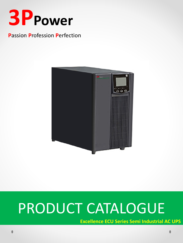

## **Passion Profession Perfection**



# PRODUCT CATALOGUE

**Excellence ECU Series Semi Industrial AC UPS**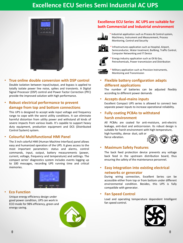# **Excellence ECU Series Semi Industrial AC UPS**



• **True online double conversion with DSP control** Double isolation between input/output, and bypass is applied to totally isolate power line noise, spikes and transients. A Digital

Signal Processor (DSP) control and Power Factor Correction (PFC) provide the improved solution with high performance.

## • **Robust electrical performance to prevent damage from top and bottom connections**

This UPS is designed to accept wide input voltage and frequency range to cope with the worst utility conditions. It can eliminate harmful distortion from utility power and withstand all kinds of severe impacts from various loads. It's capable to support heavy duty equipment, production equipment and DCS (Distributed Control System) system.

#### • **Colourful Multifunctional HMI Panel**

The 3 inch colorful HMI (Human Machine Interface) panel allows easy and humanized operation of the UPS. It gives access to the most important parameters: status and alarms, control commands, input, output, battery measurements (power, current, voltage, frequency and temperature) and settings. The compact series' diagnostics system includes events logging up to 100 messages, recording UPS running time and critical memories.



#### • **Eco Function**

Unique energy efficiency design under good power condition, UPS can work in ECO mode for 98% efficiency, green and energy saving.



## **Excellence ECU Series AC UPS are suitable for both Commercial and Industrial environment**



\* Industrial application such as Process & Control system, Machinery, Instrument and Measurement, Process Monitoring, Control and Security



Infrastructures application such as Hospital, Airport, Semiconductor, Water treatment, Builbing, Traffic Control, Computer Networking and IT Device



Energy industry application such as Oil & Gas, Petrochemicals, Power transmission and Distribution



Military application such as Precision Instruments, Monitoring and Transmission

• **Flexible battery configuration adapts different applications**

The number of batteries can be adjusted flexibly according to different power demands

#### • **Accepts dual-mains inputs**

Excellent Compact UPS series is allowed to connect two separate power inputs to increase operational reliability.

• **Fully coating PCBAs to withstand harsh environment**

All PCBAs are coated for anti-moisture, anti-electric leakage, anti-dust and anticorrosion. Its robust design is suitable for harsh environment with high temperature,

high humidity, dense dust, salt or fierce vibration.



#### • **Maximum Safety Features**

The back feed protection device prevents any voltage back feed in the upstream distribution board, thus ensuring the safety of the maintenance personnel.

## • **Easy integration into existing electrical networks or generator**

During wiring connection, Excellent Series can be accessible either from top or from bottom under different environmental condition. Besides, this UPS is fully compatible with generator.

#### • **Fan Speed Control**

Load and operating temperature dependent Intelligent fan speed control.

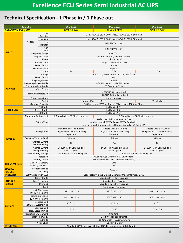## **Technical Specification - 1 Phase in / 1 Phase out**

| <b>MODEL</b>                |                                                        |                     | <b>ECU 1101</b><br><b>ECU 1102</b>                                                                                  |                                                               | <b>ECU 1103</b>                                              |  |  |  |  |
|-----------------------------|--------------------------------------------------------|---------------------|---------------------------------------------------------------------------------------------------------------------|---------------------------------------------------------------|--------------------------------------------------------------|--|--|--|--|
| <b>CAPACITY in kVA / kW</b> |                                                        |                     | 1kVA / 0.9kW<br>2kVA / 1.8kW                                                                                        |                                                               | 3kVA / 2.7kW                                                 |  |  |  |  |
|                             |                                                        | Low                 | L-N: 176VAC ± 3% @ 100% load, 130VAC ± 3% @ 50% load                                                                |                                                               |                                                              |  |  |  |  |
|                             |                                                        | Transfer            |                                                                                                                     |                                                               |                                                              |  |  |  |  |
|                             |                                                        | Low Back            | L-N: 188VAC ± 3% @ 100% load, 142VAC ± 3% @ 50% load                                                                |                                                               |                                                              |  |  |  |  |
| <b>INPUT</b>                | Voltage                                                | High<br>Transfer    | L-N: 276VAC $\pm$ 3%                                                                                                |                                                               |                                                              |  |  |  |  |
|                             |                                                        | High<br><b>Back</b> | L-N: 266VAC $\pm$ 3%                                                                                                |                                                               |                                                              |  |  |  |  |
|                             | <b>Frequency Range</b>                                 |                     | 40 - 70Hz                                                                                                           |                                                               |                                                              |  |  |  |  |
|                             | <b>Frequency SYN</b>                                   |                     | 46 - 54Hz at 50Hz, 56 - 64Hz at 60Hz                                                                                |                                                               |                                                              |  |  |  |  |
|                             | Phase                                                  |                     | 1:1 phase, L+N+G                                                                                                    |                                                               |                                                              |  |  |  |  |
|                             | Current THDi                                           |                     | < 5% @ 100% non-linear load                                                                                         |                                                               |                                                              |  |  |  |  |
|                             | Power Factor                                           |                     | $\geq 0.99$                                                                                                         |                                                               |                                                              |  |  |  |  |
|                             | Generate Input                                         |                     | Support                                                                                                             |                                                               |                                                              |  |  |  |  |
|                             | Current                                                |                     | 7.8A<br>4A<br>11.7A                                                                                                 |                                                               |                                                              |  |  |  |  |
|                             | Voltage                                                |                     | 208 / 220 / 230 / 240VAC or 110 / 120 / 127                                                                         |                                                               |                                                              |  |  |  |  |
|                             | Power Factor                                           |                     | 0.9<br>$±1-2%$                                                                                                      |                                                               |                                                              |  |  |  |  |
|                             | <b>Voltage Regulation</b>                              |                     | 46 - 54Hz at 50Hz, 56 - 64Hz at 60Hz                                                                                |                                                               |                                                              |  |  |  |  |
|                             | Frequency-Bypass Mode<br>Frequency -Batt. Mode         |                     | 50 / 60Hz ± 0.02Hz                                                                                                  |                                                               |                                                              |  |  |  |  |
| <b>OUTPUT</b>               | Crest Factor                                           |                     | 3:1                                                                                                                 |                                                               |                                                              |  |  |  |  |
|                             |                                                        |                     | ≤ 3% THD @ Linear Load                                                                                              |                                                               |                                                              |  |  |  |  |
|                             | <b>Harmonic Distortion</b>                             |                     | ≤ 5% THD @ Non-linear Load                                                                                          |                                                               |                                                              |  |  |  |  |
|                             | Output Waveform                                        |                     | Pure Sine Wave                                                                                                      |                                                               |                                                              |  |  |  |  |
|                             | Outlet                                                 |                     | Universal Sockets x 2<br>Terminals                                                                                  |                                                               |                                                              |  |  |  |  |
|                             | <b>Overload Capacity</b>                               |                     | 105% < Load < 125% for 1 min, 125% < Load < 150% for 30sec                                                          |                                                               |                                                              |  |  |  |  |
|                             | AC Mode                                                |                     | Full Load $\geq$ 89%                                                                                                |                                                               |                                                              |  |  |  |  |
| <b>EFFICIENCY</b>           | <b>Battery Mode</b>                                    |                     | Full Load $\geq 86\%$                                                                                               |                                                               |                                                              |  |  |  |  |
|                             | ECO Mode                                               |                     |                                                                                                                     | Full Load ≥ 95%                                               |                                                              |  |  |  |  |
|                             | Number of Batt. per set                                |                     | 2 Blocks Built-in / 3 Blocks Long-run                                                                               |                                                               | 6 Blocks Built-in / 8 Blocks Long-run                        |  |  |  |  |
|                             | <b>Battery Type</b>                                    |                     | Sealed Lead Acid Maintenance Free                                                                                   |                                                               |                                                              |  |  |  |  |
|                             |                                                        |                     | Standard model: 12VDC 7Ah or 12VDC 9Ah Built-in<br>Long-run model: Optional External Battery Capacity to 12VDC 40Ah |                                                               |                                                              |  |  |  |  |
|                             |                                                        |                     |                                                                                                                     |                                                               |                                                              |  |  |  |  |
|                             | <b>Backup Time</b>                                     |                     | Standard unit: 5 to 12mins<br>Long-run unit: External Battery                                                       | Standard unit: 8 to 16mins<br>Long-run unit: External Battery | Standard unit: 5 to10mins<br>Long-run unit: External Battery |  |  |  |  |
|                             |                                                        |                     | Dependent                                                                                                           | Dependent                                                     | Dependent                                                    |  |  |  |  |
|                             |                                                        |                     |                                                                                                                     |                                                               |                                                              |  |  |  |  |
| <b>BATTERY</b>              | Recharge Time (to 90%)                                 |                     | 5 Hours                                                                                                             | 5 Hours                                                       | 5 Hours                                                      |  |  |  |  |
|                             | Charger Current<br>(Standard unit)                     |                     | 1A                                                                                                                  | 1A                                                            | 1A                                                           |  |  |  |  |
|                             | <b>Charge Current</b>                                  |                     | 1A Built-in, 4A Long-run and                                                                                        | 1A Built-in, 4A Long-run and                                  | 1A Built-in, 4A Long-run and                                 |  |  |  |  |
|                             |                                                        | (Long-run unit)     | > 4A as Option                                                                                                      | > 4A as Option                                                | > 4A as Option                                               |  |  |  |  |
|                             | <b>Rated Battery Voltage</b>                           |                     | 24VDC Built-in / 36VDC Long-run<br>72VDC Built-in / 96VDC Long-run                                                  |                                                               |                                                              |  |  |  |  |
|                             | Protection                                             |                     | Over Voltage, Over Current, Low Voltage                                                                             |                                                               |                                                              |  |  |  |  |
|                             | <b>Battery Socket</b>                                  |                     | Anderson (Power Pole Modular Connectors)                                                                            |                                                               |                                                              |  |  |  |  |
| <b>TRANSFER TIME</b>        | Mains $\leftarrow$ Battery                             |                     | 0 <sub>ms</sub>                                                                                                     |                                                               |                                                              |  |  |  |  |
| <b>SPECIAL</b>              | Mains $\leftarrow \rightarrow$ Bypass<br>Economic Mode |                     | 0 <sub>ms</sub>                                                                                                     |                                                               |                                                              |  |  |  |  |
| <b>FEATURE</b>              |                                                        | (Eco-Mode)          | Support                                                                                                             |                                                               |                                                              |  |  |  |  |
| <b>INDICATOR</b>            | LCD Version (with LED)                                 |                     |                                                                                                                     | Load, Battery, Input, Output, Operating Mode Information etc. |                                                              |  |  |  |  |
|                             |                                                        | <b>Battery Mode</b> | Sounding Every Four Seconds                                                                                         |                                                               |                                                              |  |  |  |  |
| <b>AUDIBLE</b>              | Low Frequency                                          |                     | Sounding Every Second                                                                                               |                                                               |                                                              |  |  |  |  |
| <b>ALARM</b>                |                                                        | Overload            | Sounding Twice Every Second                                                                                         |                                                               |                                                              |  |  |  |  |
|                             | Fault                                                  |                     | <b>Continuously Sounding</b>                                                                                        |                                                               |                                                              |  |  |  |  |
|                             | Unit Dimension                                         |                     |                                                                                                                     |                                                               |                                                              |  |  |  |  |
|                             |                                                        | $(D * W * H)$ in mm | 282 * 145 * 220                                                                                                     | 397 * 145 * 220                                               | 421 * 190 * 318                                              |  |  |  |  |
| <b>PHYSICAL</b>             |                                                        | Packing Dimension   | 524 * 258 * 334                                                                                                     | 603 * 332 * 340                                               | 603 * 332 * 482                                              |  |  |  |  |
|                             |                                                        | $(D * W * H)$ in mm |                                                                                                                     |                                                               |                                                              |  |  |  |  |
|                             | <b>Standard Unit</b><br>Net/Gross Weight in kg         |                     | 10/12.5                                                                                                             | 17/20                                                         | 24/27                                                        |  |  |  |  |
|                             | Long-run unit<br>Net / Gross W in kg                   |                     | 4.5/7<br>7/10                                                                                                       |                                                               | 7.5 / 10.5                                                   |  |  |  |  |
|                             | <b>Operating Environment</b>                           |                     | 0-to 40°C                                                                                                           |                                                               |                                                              |  |  |  |  |
|                             | <b>Relative Humidity</b>                               |                     | 0 to 90% (non-condensing)                                                                                           |                                                               |                                                              |  |  |  |  |
|                             | Altitude                                               |                     | < 1500m, when > 1500m, derating                                                                                     |                                                               |                                                              |  |  |  |  |
|                             | Noise Level                                            |                     | < 55db at 1 Meter                                                                                                   |                                                               |                                                              |  |  |  |  |
| <b>INTERFACE</b>            |                                                        |                     | Standard RS232 interface, (Option: USB, Dry contact, and SNMP Card)                                                 |                                                               |                                                              |  |  |  |  |
|                             |                                                        |                     |                                                                                                                     |                                                               |                                                              |  |  |  |  |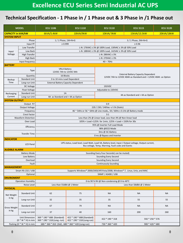# **Technical Specification - 1 Phase in / 1 Phase out & 3 Phase in /1 Phase out**

| <b>MODEL</b>                          |                           | <b>ECU 1106</b>                                                                                    | <b>ECU 1110</b>                                          | <b>ECU 3110</b>                                                | <b>ECU 3115</b> | <b>ECU 3120</b> |  |  |  |  |
|---------------------------------------|---------------------------|----------------------------------------------------------------------------------------------------|----------------------------------------------------------|----------------------------------------------------------------|-----------------|-----------------|--|--|--|--|
| <b>CAPACITY in kVA/kW</b>             |                           | 6kVA/5.4kW                                                                                         | 10kVA/9kW                                                | 10kVA/9kW                                                      | 15kVA/13.5kW    | 20kVA/18kW      |  |  |  |  |
| <b>SYSTEM INPUT</b>                   |                           |                                                                                                    |                                                          |                                                                |                 |                 |  |  |  |  |
|                                       | Phase                     | 1 / 1 Phase, 1W+N+G<br>3 / 1 Phase, 3W+N+G                                                         |                                                          |                                                                |                 |                 |  |  |  |  |
| Input PF                              |                           | $\geq 0.999$<br>$\geq 0.96$                                                                        |                                                          |                                                                |                 |                 |  |  |  |  |
| Low Transfer                          |                           | L-N: 176VAC ± 3% @ 100% Load, 130VAC ± 3% @ 50% Load                                               |                                                          |                                                                |                 |                 |  |  |  |  |
| Input                                 | Low Back                  | L-N: 188VAC ± 3% @ 100% Load, 142VAC ± 3% @ 50% Load                                               |                                                          |                                                                |                 |                 |  |  |  |  |
| Voltage                               | <b>High Transfer</b>      | L-N: 286VAC ± 3%                                                                                   |                                                          |                                                                |                 |                 |  |  |  |  |
| <b>High Back</b>                      |                           | L-N: 270VAC ± 3%                                                                                   |                                                          |                                                                |                 |                 |  |  |  |  |
| Input frequency                       |                           | $40 - 70$ Hz                                                                                       |                                                          |                                                                |                 |                 |  |  |  |  |
| <b>BATTERY</b>                        |                           |                                                                                                    |                                                          |                                                                |                 |                 |  |  |  |  |
|                                       |                           | <b>VRLA Battery</b>                                                                                |                                                          |                                                                |                 |                 |  |  |  |  |
| <b>Type</b>                           |                           | 12VDC 7Ah to 12VDC 9Ah                                                                             |                                                          |                                                                |                 |                 |  |  |  |  |
| Quantity                              |                           | 16 Blocks                                                                                          |                                                          | <b>External Battery Capacity Dependent</b>                     |                 |                 |  |  |  |  |
|                                       | <b>Standard Unit</b>      | 3 to 10 mins Load Dependent                                                                        |                                                          | 12VDC 7Ah to 12VDC 40Ah as Standard and > 12VDC 40Ah as Option |                 |                 |  |  |  |  |
| Backup<br>Time                        |                           |                                                                                                    |                                                          |                                                                |                 |                 |  |  |  |  |
| Long-run Unit                         |                           |                                                                                                    | <b>External Battery Capacity Dependent</b><br>192VDC     |                                                                |                 |                 |  |  |  |  |
|                                       | DC Voltage                |                                                                                                    |                                                          |                                                                |                 |                 |  |  |  |  |
|                                       | <b>Float Voltage</b>      | Adjustable to 220VDC<br>1A                                                                         |                                                          |                                                                |                 |                 |  |  |  |  |
| Recharging                            | <b>Standard Unit</b>      |                                                                                                    |                                                          | 4A as Standard and > 4A as Option                              |                 |                 |  |  |  |  |
| Current                               | Long-run Unit             |                                                                                                    | 4A as Standard and > 4A as Option                        |                                                                |                 |                 |  |  |  |  |
| <b>SYSTEM OUTPUT</b>                  |                           |                                                                                                    |                                                          |                                                                |                 |                 |  |  |  |  |
| Output P.F                            |                           | 0.9                                                                                                |                                                          |                                                                |                 |                 |  |  |  |  |
| <b>Output Voltage</b>                 |                           | 220 / 230 / 240Vac +/-1% (Static)                                                                  |                                                          |                                                                |                 |                 |  |  |  |  |
|                                       | Frequency                 | 46 ~ 54Hz or 56 ~ 64Hz @ Line mode,, 50 / 60Hz ± 0.1Hz @ Battery mode                              |                                                          |                                                                |                 |                 |  |  |  |  |
|                                       | Crest Factor              | 3:1                                                                                                |                                                          |                                                                |                 |                 |  |  |  |  |
| Waveform Distortion                   |                           | Less than 2% @ Linear load, Less than 4% @ Non-linear load                                         |                                                          |                                                                |                 |                 |  |  |  |  |
| Over Load                             |                           | 105% < Load <125% for 1min, 125% < Load < 150% for 30s                                             |                                                          |                                                                |                 |                 |  |  |  |  |
| Efficiency                            |                           | 95% @ Inverter Full Load Mode                                                                      |                                                          |                                                                |                 |                 |  |  |  |  |
|                                       |                           | 98% @ECO Mode                                                                                      |                                                          |                                                                |                 |                 |  |  |  |  |
| <b>Transfer Time</b>                  |                           | Oms @ AC-Battery                                                                                   |                                                          |                                                                |                 |                 |  |  |  |  |
|                                       |                           | 0 ms @ Bypass and Inverter                                                                         |                                                          |                                                                |                 |                 |  |  |  |  |
| <b>INDICATOR</b>                      |                           |                                                                                                    |                                                          |                                                                |                 |                 |  |  |  |  |
|                                       | <b>LCD Panel</b>          | UPS status, Load level, Load Watt, Load VA, Battery level, Input / Output voltage, Output current, |                                                          |                                                                |                 |                 |  |  |  |  |
|                                       |                           | Bus voltage, Temp, Warning, Fault code and Events                                                  |                                                          |                                                                |                 |                 |  |  |  |  |
| <b>AUDIBLE ALARM</b>                  |                           |                                                                                                    |                                                          |                                                                |                 |                 |  |  |  |  |
| <b>Battery Mode</b>                   |                           | Sounding Every Four Seconds( can be muted)                                                         |                                                          |                                                                |                 |                 |  |  |  |  |
| Low Battery                           |                           | Sounding Every Second                                                                              |                                                          |                                                                |                 |                 |  |  |  |  |
| Overload                              |                           | Sounding Every Second                                                                              |                                                          |                                                                |                 |                 |  |  |  |  |
| Fault                                 |                           | <b>Continuously Sounding</b>                                                                       |                                                          |                                                                |                 |                 |  |  |  |  |
| <b>MANAGEMENT</b>                     |                           |                                                                                                    |                                                          |                                                                |                 |                 |  |  |  |  |
| Smart RS-232 / USB                    |                           | Supports Windows® 2000/2003/XP/Vista/2008, Windows® 7, Linux, Unix, and MAC                        |                                                          |                                                                |                 |                 |  |  |  |  |
|                                       | Optional                  | SNMP / AS400 / USB                                                                                 |                                                          |                                                                |                 |                 |  |  |  |  |
| <b>ENVIROMENT</b>                     |                           |                                                                                                    |                                                          |                                                                |                 |                 |  |  |  |  |
|                                       | <b>Operation Humidity</b> | 0-to 90 % RH @ Non-condensing @ 0-to 40°C                                                          |                                                          |                                                                |                 |                 |  |  |  |  |
| Noise Level                           |                           | Less than 55dBA @ 1 Meter                                                                          |                                                          | Less than 58dBA @ 1 Meter                                      |                 |                 |  |  |  |  |
| <b>PHYSICAL</b>                       |                           |                                                                                                    |                                                          |                                                                |                 |                 |  |  |  |  |
| Net Weight<br>in kg                   | <b>Standard Unit</b>      | 62                                                                                                 | 75                                                       | <b>NA</b>                                                      | <b>NA</b>       | <b>NA</b>       |  |  |  |  |
|                                       | Long-run Unit             | 32                                                                                                 | 35                                                       | 35                                                             | 55              | 55              |  |  |  |  |
| <b>Gross Weight</b><br>in kg          | <b>Standard Unit</b>      | 67                                                                                                 | 79                                                       | <b>NA</b>                                                      | <b>NA</b>       | <b>NA</b>       |  |  |  |  |
|                                       | Long-run Unit             | 37                                                                                                 | 40                                                       | 160                                                            | 200             | 260             |  |  |  |  |
| Unit Dimension<br>$(D * W * H)$ in mm |                           | 369 * 190 * 688 (Standard)<br>369 * 190 * 318 (Long -run)                                          | 422 * 190 * 688 (Standard)<br>422 * 190 * 318 (Long-run) |                                                                | 592 * 250 * 576 |                 |  |  |  |  |
| Packing (D * W * H) in mm             |                           | 680 * 360 * 810 (Std), 680 * 360 * 420 (Long-run)                                                  |                                                          | 730 * 360 * 420                                                | 900 * 420 * 680 |                 |  |  |  |  |